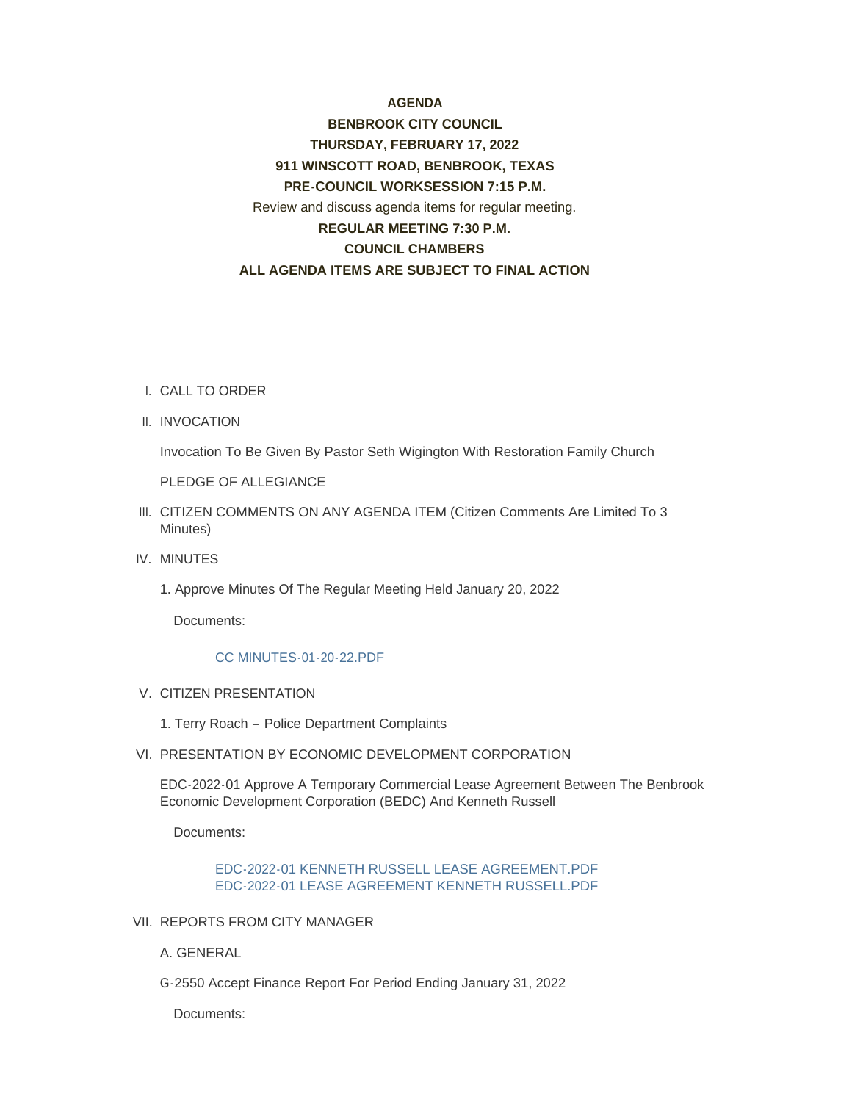# **AGENDA**

# **BENBROOK CITY COUNCIL THURSDAY, FEBRUARY 17, 2022 911 WINSCOTT ROAD, BENBROOK, TEXAS PRE-COUNCIL WORKSESSION 7:15 P.M.** Review and discuss agenda items for regular meeting. **REGULAR MEETING 7:30 P.M. COUNCIL CHAMBERS ALL AGENDA ITEMS ARE SUBJECT TO FINAL ACTION**

- CALL TO ORDER I.
- II. INVOCATION

Invocation To Be Given By Pastor Seth Wigington With Restoration Family Church

PLEDGE OF ALLEGIANCE

- III. CITIZEN COMMENTS ON ANY AGENDA ITEM (Citizen Comments Are Limited To 3 Minutes)
- IV. MINUTES
	- 1. Approve Minutes Of The Regular Meeting Held January 20, 2022

Documents:

#### [CC MINUTES-01-20-22.PDF](http://www.benbrook-tx.gov/AgendaCenter/ViewFile/Item/6544?fileID=5034)

- V. CITIZEN PRESENTATION
	- 1. Terry Roach Police Department Complaints
- VI. PRESENTATION BY ECONOMIC DEVELOPMENT CORPORATION

EDC-2022-01 Approve A Temporary Commercial Lease Agreement Between The Benbrook Economic Development Corporation (BEDC) And Kenneth Russell

Documents:

# [EDC-2022-01 KENNETH RUSSELL LEASE AGREEMENT.PDF](http://www.benbrook-tx.gov/AgendaCenter/ViewFile/Item/6546?fileID=5035) [EDC-2022-01 LEASE AGREEMENT KENNETH RUSSELL.PDF](http://www.benbrook-tx.gov/AgendaCenter/ViewFile/Item/6546?fileID=5036)

VII. REPORTS FROM CITY MANAGER

A. GENERAL

G-2550 Accept Finance Report For Period Ending January 31, 2022

Documents: